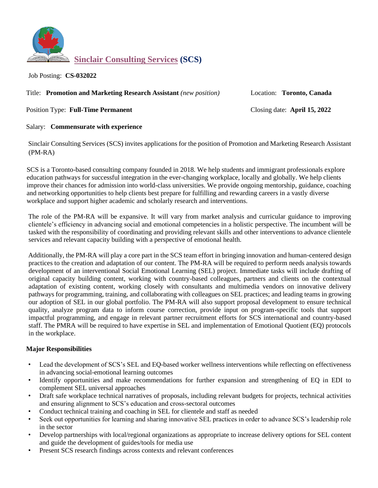

Job Posting: **CS-032022** 

Title: **Promotion and Marketing Research Assistant** *(new position)* Location: **Toronto, Canada** 

Position Type: **Full-Time Permanent** Closing date: **April 15, 2022** 

# Salary: **Commensurate with experience**

Sinclair Consulting Services (SCS) invites applications for the position of Promotion and Marketing Research Assistant (PM-RA)

SCS is a Toronto-based consulting company founded in 2018. We help students and immigrant professionals explore education pathways for successful integration in the ever-changing workplace, locally and globally. We help clients improve their chances for admission into world-class universities. We provide ongoing mentorship, guidance, coaching and networking opportunities to help clients best prepare for fulfilling and rewarding careers in a vastly diverse workplace and support higher academic and scholarly research and interventions.

The role of the PM-RA will be expansive. It will vary from market analysis and curricular guidance to improving clientele's efficiency in advancing social and emotional competencies in a holistic perspective. The incumbent will be tasked with the responsibility of coordinating and providing relevant skills and other interventions to advance clientele services and relevant capacity building with a perspective of emotional health.

Additionally, the PM-RA will play a core part in the SCS team effort in bringing innovation and human-centered design practices to the creation and adaptation of our content. The PM-RA will be required to perform needs analysis towards development of an interventional Social Emotional Learning (SEL) project. Immediate tasks will include drafting of original capacity building content, working with country-based colleagues, partners and clients on the contextual adaptation of existing content, working closely with consultants and multimedia vendors on innovative delivery pathways for programming, training, and collaborating with colleagues on SEL practices; and leading teams in growing our adoption of SEL in our global portfolio. The PM-RA will also support proposal development to ensure technical quality, analyze program data to inform course correction, provide input on program-specific tools that support impactful programming, and engage in relevant partner recruitment efforts for SCS international and country-based staff. The PMRA will be required to have expertise in SEL and implementation of Emotional Quotient (EQ) protocols in the workplace.

# **Major Responsibilities**

- Lead the development of SCS's SEL and EQ-based worker wellness interventions while reflecting on effectiveness in advancing social-emotional learning outcomes
- Identify opportunities and make recommendations for further expansion and strengthening of EQ in EDI to complement SEL universal approaches
- Draft safe workplace technical narratives of proposals, including relevant budgets for projects, technical activities and ensuring alignment to SCS's education and cross-sectoral outcomes
- Conduct technical training and coaching in SEL for clientele and staff as needed
- Seek out opportunities for learning and sharing innovative SEL practices in order to advance SCS's leadership role in the sector
- Develop partnerships with local/regional organizations as appropriate to increase delivery options for SEL content and guide the development of guides/tools for media use
- Present SCS research findings across contexts and relevant conferences